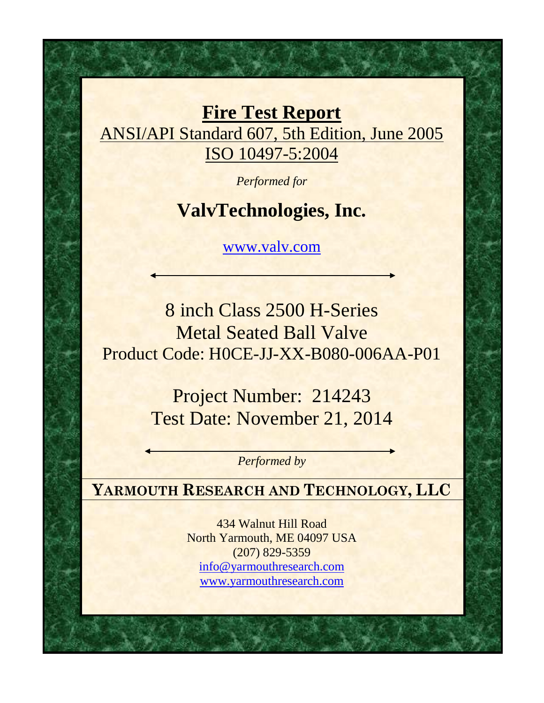**Fire Test Report** ANSI/API Standard 607, 5th Edition, June 2005 ISO 10497-5:2004

*Performed for*

## **ValvTechnologies, Inc.**

www.valv.com

8 inch Class 2500 H-Series Metal Seated Ball Valve Product Code: H0CE-JJ-XX-B080-006AA-P01

> Project Number: 214243 Test Date: November 21, 2014

> > *Performed by*

**YARMOUTH RESEARCH AND TECHNOLOGY, LLC**

434 Walnut Hill Road North Yarmouth, ME 04097 USA (207) 829-5359 info@yarmouthresearch.com www.yarmouthresearch.com